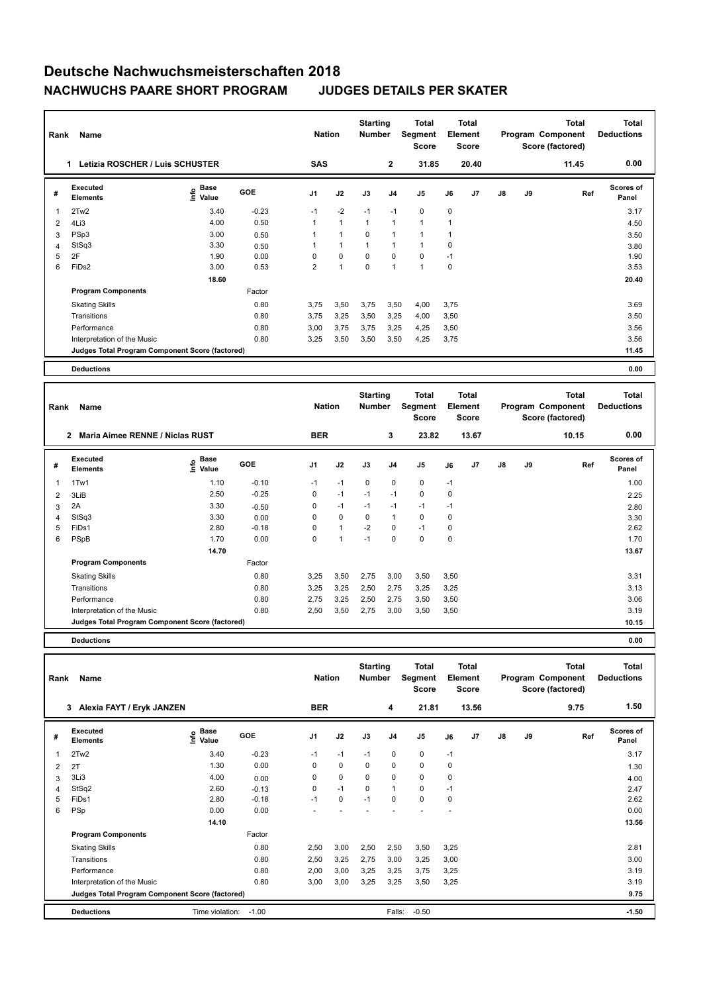## **Deutsche Nachwuchsmeisterschaften 2018 NACHWUCHS PAARE SHORT PROGRAM JUDGES DETAILS PER SKATER**

| Rank                                  | Name                                            |                           | <b>Nation</b> |                | <b>Starting</b><br><b>Number</b> | Total<br>Segment<br><b>Score</b> | <b>Total</b><br>Element<br><b>Score</b> |                |      |       | <b>Total</b><br>Program Component<br>Score (factored) | <b>Total</b><br><b>Deductions</b> |       |                    |
|---------------------------------------|-------------------------------------------------|---------------------------|---------------|----------------|----------------------------------|----------------------------------|-----------------------------------------|----------------|------|-------|-------------------------------------------------------|-----------------------------------|-------|--------------------|
| Letizia ROSCHER / Luis SCHUSTER<br>1. |                                                 |                           |               |                | <b>SAS</b>                       |                                  | $\mathbf{2}$                            | 31.85          |      | 20.40 |                                                       |                                   | 11.45 | 0.00               |
| #                                     | Executed<br><b>Elements</b>                     | Base<br>e Base<br>⊆ Value | <b>GOE</b>    | J <sub>1</sub> | J2                               | J3                               | J <sub>4</sub>                          | J <sub>5</sub> | J6   | J7    | $\mathsf{J}8$                                         | J9                                | Ref   | Scores of<br>Panel |
| 1                                     | 2Tw2                                            | 3.40                      | $-0.23$       | $-1$           | $-2$                             | $-1$                             | $-1$                                    | $\mathbf 0$    | 0    |       |                                                       |                                   |       | 3.17               |
| 2                                     | 4Li3                                            | 4.00                      | 0.50          |                | $\mathbf{1}$                     | $\overline{1}$                   | $\overline{1}$                          | $\mathbf{1}$   | 1    |       |                                                       |                                   |       | 4.50               |
| 3                                     | PSp3                                            | 3.00                      | 0.50          |                | $\overline{1}$                   | 0                                | $\overline{1}$                          | $\mathbf{1}$   | 1    |       |                                                       |                                   |       | 3.50               |
| $\overline{4}$                        | StSq3                                           | 3.30                      | 0.50          |                | $\overline{1}$                   |                                  | 1                                       | $\mathbf{1}$   | 0    |       |                                                       |                                   |       | 3.80               |
| 5                                     | 2F                                              | 1.90                      | 0.00          | $\Omega$       | $\mathbf 0$                      | $\mathbf 0$                      | 0                                       | $\mathbf 0$    | $-1$ |       |                                                       |                                   |       | 1.90               |
| 6                                     | FiDs2                                           | 3.00                      | 0.53          | $\overline{2}$ | $\overline{1}$                   | 0                                | $\overline{1}$                          | $\mathbf{1}$   | 0    |       |                                                       |                                   |       | 3.53               |
|                                       |                                                 | 18.60                     |               |                |                                  |                                  |                                         |                |      |       |                                                       |                                   |       | 20.40              |
|                                       | <b>Program Components</b>                       |                           | Factor        |                |                                  |                                  |                                         |                |      |       |                                                       |                                   |       |                    |
|                                       | <b>Skating Skills</b>                           |                           | 0.80          | 3.75           | 3,50                             | 3,75                             | 3,50                                    | 4,00           | 3,75 |       |                                                       |                                   |       | 3.69               |
|                                       | Transitions                                     |                           | 0.80          | 3.75           | 3,25                             | 3,50                             | 3,25                                    | 4,00           | 3,50 |       |                                                       |                                   |       | 3.50               |
|                                       | Performance                                     |                           | 0.80          | 3,00           | 3,75                             | 3,75                             | 3,25                                    | 4,25           | 3,50 |       |                                                       |                                   |       | 3.56               |
|                                       | Interpretation of the Music                     |                           | 0.80          | 3,25           | 3,50                             | 3,50                             | 3,50                                    | 4,25           | 3,75 |       |                                                       |                                   |       | 3.56               |
|                                       | Judges Total Program Component Score (factored) |                           |               |                |                                  |                                  |                                         |                |      |       |                                                       |                                   |       | 11.45              |
|                                       | <b>Deductions</b>                               |                           |               |                |                                  |                                  |                                         |                |      |       |                                                       |                                   |       | 0.00               |

| Rank           | Name                                            |                            |            | <b>Nation</b>  |              | <b>Starting</b><br><b>Number</b> |                | <b>Total</b><br>Segment<br><b>Score</b> |             | Total<br>Element<br><b>Score</b> |    |    | <b>Total</b><br>Program Component<br>Score (factored) | <b>Total</b><br><b>Deductions</b> |
|----------------|-------------------------------------------------|----------------------------|------------|----------------|--------------|----------------------------------|----------------|-----------------------------------------|-------------|----------------------------------|----|----|-------------------------------------------------------|-----------------------------------|
|                | Maria Aimee RENNE / Niclas RUST<br>$\mathbf{2}$ |                            |            | <b>BER</b>     |              |                                  | 3              | 23.82                                   |             | 13.67                            |    |    | 10.15                                                 | 0.00                              |
| #              | Executed<br><b>Elements</b>                     | Base<br>$\frac{e}{2}$ Base | <b>GOE</b> | J <sub>1</sub> | J2           | J3                               | J <sub>4</sub> | J <sub>5</sub>                          | J6          | J <sub>7</sub>                   | J8 | J9 | Ref                                                   | <b>Scores of</b><br>Panel         |
| 1              | 1Tw1                                            | 1.10                       | $-0.10$    | $-1$           | $-1$         | 0                                | 0              | 0                                       | $-1$        |                                  |    |    |                                                       | 1.00                              |
| $\overline{2}$ | 3LiB                                            | 2.50                       | $-0.25$    | 0              | $-1$         | $-1$                             | $-1$           | $\mathbf 0$                             | $\mathbf 0$ |                                  |    |    |                                                       | 2.25                              |
| 3              | 2A                                              | 3.30                       | $-0.50$    | 0              | $-1$         | $-1$                             | $-1$           | $-1$                                    | $-1$        |                                  |    |    |                                                       | 2.80                              |
| 4              | StSq3                                           | 3.30                       | 0.00       | 0              | 0            | 0                                | 1              | 0                                       | 0           |                                  |    |    |                                                       | 3.30                              |
| 5              | FiDs1                                           | 2.80                       | $-0.18$    | 0              | $\mathbf{1}$ | $-2$                             | 0              | $-1$                                    | 0           |                                  |    |    |                                                       | 2.62                              |
| 6              | PSpB                                            | 1.70                       | 0.00       | 0              | 1            | $-1$                             | 0              | $\mathbf 0$                             | $\mathbf 0$ |                                  |    |    |                                                       | 1.70                              |
|                |                                                 | 14.70                      |            |                |              |                                  |                |                                         |             |                                  |    |    |                                                       | 13.67                             |
|                | <b>Program Components</b>                       |                            | Factor     |                |              |                                  |                |                                         |             |                                  |    |    |                                                       |                                   |
|                | <b>Skating Skills</b>                           |                            | 0.80       | 3,25           | 3,50         | 2,75                             | 3,00           | 3,50                                    | 3,50        |                                  |    |    |                                                       | 3.31                              |
|                | Transitions                                     |                            | 0.80       | 3,25           | 3,25         | 2,50                             | 2,75           | 3,25                                    | 3,25        |                                  |    |    |                                                       | 3.13                              |
|                | Performance                                     |                            | 0.80       | 2,75           | 3,25         | 2,50                             | 2,75           | 3,50                                    | 3,50        |                                  |    |    |                                                       | 3.06                              |
|                | Interpretation of the Music                     |                            | 0.80       | 2,50           | 3,50         | 2,75                             | 3,00           | 3,50                                    | 3,50        |                                  |    |    |                                                       | 3.19                              |
|                | Judges Total Program Component Score (factored) |                            |            |                |              |                                  |                |                                         |             |                                  |    |    |                                                       | 10.15                             |
|                |                                                 |                            |            |                |              |                                  |                |                                         |             |                                  |    |    |                                                       |                                   |

**Deductions 0.00**

| Rank | Name                                            |                       |            | <b>Nation</b>  |             | <b>Starting</b><br><b>Number</b> |                | Total<br>Segment<br><b>Score</b> | Element | <b>Total</b><br><b>Score</b> |    |    | <b>Total</b><br>Program Component<br>Score (factored) | Total<br><b>Deductions</b> |
|------|-------------------------------------------------|-----------------------|------------|----------------|-------------|----------------------------------|----------------|----------------------------------|---------|------------------------------|----|----|-------------------------------------------------------|----------------------------|
|      | Alexia FAYT / Eryk JANZEN<br>3                  |                       |            | <b>BER</b>     |             |                                  | 4              | 21.81                            |         | 13.56                        |    |    | 9.75                                                  | 1.50                       |
| #    | Executed<br><b>Elements</b>                     | $\sum_{i=1}^{6}$ Pase | <b>GOE</b> | J <sub>1</sub> | J2          | J3                               | J <sub>4</sub> | J5                               | J6      | J <sub>7</sub>               | J8 | J9 | Ref                                                   | <b>Scores of</b><br>Panel  |
| 1    | 2Tw2                                            | 3.40                  | $-0.23$    | $-1$           | $-1$        | $-1$                             | 0              | 0                                | $-1$    |                              |    |    |                                                       | 3.17                       |
| 2    | 2T                                              | 1.30                  | 0.00       | 0              | $\mathbf 0$ | 0                                | $\mathbf 0$    | $\mathbf 0$                      | 0       |                              |    |    |                                                       | 1.30                       |
| 3    | 3Li3                                            | 4.00                  | 0.00       | 0              | 0           | 0                                | 0              | 0                                | 0       |                              |    |    |                                                       | 4.00                       |
| 4    | StSq2                                           | 2.60                  | $-0.13$    | 0              | $-1$        | 0                                | $\mathbf{1}$   | 0                                | $-1$    |                              |    |    |                                                       | 2.47                       |
| 5    | FiDs1                                           | 2.80                  | $-0.18$    | $-1$           | 0           | $-1$                             | 0              | $\mathbf 0$                      | 0       |                              |    |    |                                                       | 2.62                       |
| 6    | PSp                                             | 0.00                  | 0.00       |                |             |                                  |                |                                  |         |                              |    |    |                                                       | 0.00                       |
|      |                                                 | 14.10                 |            |                |             |                                  |                |                                  |         |                              |    |    |                                                       | 13.56                      |
|      | <b>Program Components</b>                       |                       | Factor     |                |             |                                  |                |                                  |         |                              |    |    |                                                       |                            |
|      | <b>Skating Skills</b>                           |                       | 0.80       | 2,50           | 3,00        | 2,50                             | 2,50           | 3,50                             | 3,25    |                              |    |    |                                                       | 2.81                       |
|      | Transitions                                     |                       | 0.80       | 2,50           | 3,25        | 2,75                             | 3,00           | 3,25                             | 3,00    |                              |    |    |                                                       | 3.00                       |
|      | Performance                                     |                       | 0.80       | 2,00           | 3,00        | 3,25                             | 3,25           | 3,75                             | 3,25    |                              |    |    |                                                       | 3.19                       |
|      | Interpretation of the Music                     |                       | 0.80       | 3,00           | 3,00        | 3,25                             | 3,25           | 3,50                             | 3,25    |                              |    |    |                                                       | 3.19                       |
|      | Judges Total Program Component Score (factored) |                       |            |                |             |                                  |                |                                  |         |                              |    |    |                                                       | 9.75                       |
|      | <b>Deductions</b>                               | Time violation:       | $-1.00$    |                |             |                                  | Falls:         | $-0.50$                          |         |                              |    |    |                                                       | $-1.50$                    |